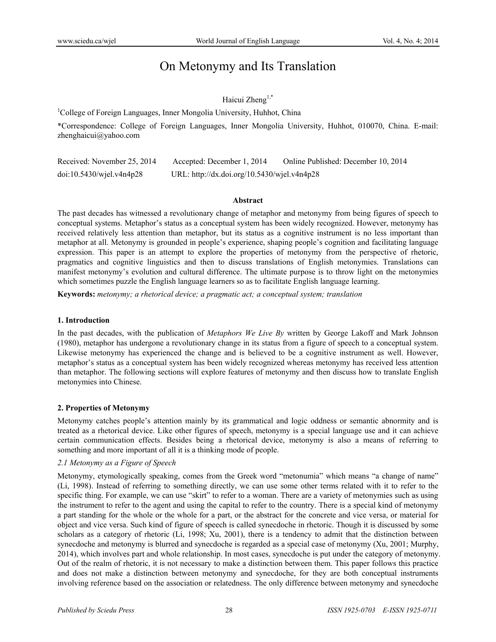# On Metonymy and Its Translation

## Haicui Zheng<sup>1,\*</sup>

<sup>1</sup>College of Foreign Languages, Inner Mongolia University, Huhhot, China

\*Correspondence: College of Foreign Languages, Inner Mongolia University, Huhhot, 010070, China. E-mail: zhenghaicui@yahoo.com

| Received: November 25, 2014 | Accepted: December 1, 2014                  | Online Published: December 10, 2014 |
|-----------------------------|---------------------------------------------|-------------------------------------|
| $doi:10.5430/w$ jel.v4n4p28 | URL: http://dx.doi.org/10.5430/wjel.v4n4p28 |                                     |

#### **Abstract**

The past decades has witnessed a revolutionary change of metaphor and metonymy from being figures of speech to conceptual systems. Metaphor's status as a conceptual system has been widely recognized. However, metonymy has received relatively less attention than metaphor, but its status as a cognitive instrument is no less important than metaphor at all. Metonymy is grounded in people's experience, shaping people's cognition and facilitating language expression. This paper is an attempt to explore the properties of metonymy from the perspective of rhetoric, pragmatics and cognitive linguistics and then to discuss translations of English metonymies. Translations can manifest metonymy's evolution and cultural difference. The ultimate purpose is to throw light on the metonymies which sometimes puzzle the English language learners so as to facilitate English language learning.

**Keywords:** *metonymy; a rhetorical device; a pragmatic act; a conceptual system; translation*

#### **1. Introduction**

In the past decades, with the publication of *Metaphors We Live By* written by George Lakoff and Mark Johnson (1980), metaphor has undergone a revolutionary change in its status from a figure of speech to a conceptual system. Likewise metonymy has experienced the change and is believed to be a cognitive instrument as well. However, metaphor's status as a conceptual system has been widely recognized whereas metonymy has received less attention than metaphor. The following sections will explore features of metonymy and then discuss how to translate English metonymies into Chinese.

### **2. Properties of Metonymy**

Metonymy catches people's attention mainly by its grammatical and logic oddness or semantic abnormity and is treated as a rhetorical device. Like other figures of speech, metonymy is a special language use and it can achieve certain communication effects. Besides being a rhetorical device, metonymy is also a means of referring to something and more important of all it is a thinking mode of people.

### *2.1 Metonymy as a Figure of Speech*

Metonymy, etymologically speaking, comes from the Greek word "metonumia" which means "a change of name" (Li, 1998). Instead of referring to something directly, we can use some other terms related with it to refer to the specific thing. For example, we can use "skirt" to refer to a woman. There are a variety of metonymies such as using the instrument to refer to the agent and using the capital to refer to the country. There is a special kind of metonymy a part standing for the whole or the whole for a part, or the abstract for the concrete and vice versa, or material for object and vice versa. Such kind of figure of speech is called synecdoche in rhetoric. Though it is discussed by some scholars as a category of rhetoric (Li, 1998; Xu, 2001), there is a tendency to admit that the distinction between synecdoche and metonymy is blurred and synecdoche is regarded as a special case of metonymy (Xu, 2001; Murphy, 2014), which involves part and whole relationship. In most cases, synecdoche is put under the category of metonymy. Out of the realm of rhetoric, it is not necessary to make a distinction between them. This paper follows this practice and does not make a distinction between metonymy and synecdoche, for they are both conceptual instruments involving reference based on the association or relatedness. The only difference between metonymy and synecdoche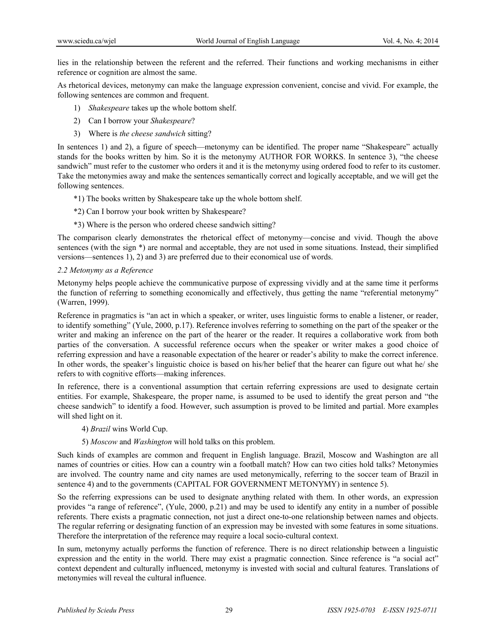lies in the relationship between the referent and the referred. Their functions and working mechanisms in either reference or cognition are almost the same.

As rhetorical devices, metonymy can make the language expression convenient, concise and vivid. For example, the following sentences are common and frequent.

- 1) *Shakespeare* takes up the whole bottom shelf.
- 2) Can I borrow your *Shakespeare*?
- 3) Where is *the cheese sandwich* sitting?

In sentences 1) and 2), a figure of speech—metonymy can be identified. The proper name "Shakespeare" actually stands for the books written by him. So it is the metonymy AUTHOR FOR WORKS. In sentence 3), "the cheese sandwich" must refer to the customer who orders it and it is the metonymy using ordered food to refer to its customer. Take the metonymies away and make the sentences semantically correct and logically acceptable, and we will get the following sentences.

- \*1) The books written by Shakespeare take up the whole bottom shelf.
- \*2) Can I borrow your book written by Shakespeare?
- \*3) Where is the person who ordered cheese sandwich sitting?

The comparison clearly demonstrates the rhetorical effect of metonymy—concise and vivid. Though the above sentences (with the sign  $*$ ) are normal and acceptable, they are not used in some situations. Instead, their simplified versions—sentences 1), 2) and 3) are preferred due to their economical use of words.

#### *2.2 Metonymy as a Reference*

Metonymy helps people achieve the communicative purpose of expressing vividly and at the same time it performs the function of referring to something economically and effectively, thus getting the name "referential metonymy" (Warren, 1999).

Reference in pragmatics is "an act in which a speaker, or writer, uses linguistic forms to enable a listener, or reader, to identify something" (Yule, 2000, p.17). Reference involves referring to something on the part of the speaker or the writer and making an inference on the part of the hearer or the reader. It requires a collaborative work from both parties of the conversation. A successful reference occurs when the speaker or writer makes a good choice of referring expression and have a reasonable expectation of the hearer or reader's ability to make the correct inference. In other words, the speaker's linguistic choice is based on his/her belief that the hearer can figure out what he/ she refers to with cognitive efforts—making inferences.

In reference, there is a conventional assumption that certain referring expressions are used to designate certain entities. For example, Shakespeare, the proper name, is assumed to be used to identify the great person and "the cheese sandwich" to identify a food. However, such assumption is proved to be limited and partial. More examples will shed light on it.

#### 4) *Brazil* wins World Cup.

### 5) *Moscow* and *Washington* will hold talks on this problem.

Such kinds of examples are common and frequent in English language. Brazil, Moscow and Washington are all names of countries or cities. How can a country win a football match? How can two cities hold talks? Metonymies are involved. The country name and city names are used metonymically, referring to the soccer team of Brazil in sentence 4) and to the governments (CAPITAL FOR GOVERNMENT METONYMY) in sentence 5).

So the referring expressions can be used to designate anything related with them. In other words, an expression provides "a range of reference", (Yule, 2000, p.21) and may be used to identify any entity in a number of possible referents. There exists a pragmatic connection, not just a direct one-to-one relationship between names and objects. The regular referring or designating function of an expression may be invested with some features in some situations. Therefore the interpretation of the reference may require a local socio-cultural context.

In sum, metonymy actually performs the function of reference. There is no direct relationship between a linguistic expression and the entity in the world. There may exist a pragmatic connection. Since reference is "a social act" context dependent and culturally influenced, metonymy is invested with social and cultural features. Translations of metonymies will reveal the cultural influence.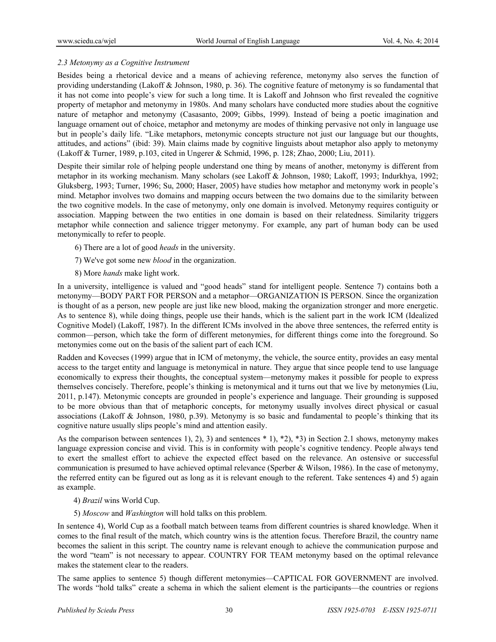### *2.3 Metonymy as a Cognitive Instrument*

Besides being a rhetorical device and a means of achieving reference, metonymy also serves the function of providing understanding (Lakoff & Johnson, 1980, p. 36). The cognitive feature of metonymy is so fundamental that it has not come into people's view for such a long time. It is Lakoff and Johnson who first revealed the cognitive property of metaphor and metonymy in 1980s. And many scholars have conducted more studies about the cognitive nature of metaphor and metonymy (Casasanto, 2009; Gibbs, 1999). Instead of being a poetic imagination and language ornament out of choice, metaphor and metonymy are modes of thinking pervasive not only in language use but in people's daily life. "Like metaphors, metonymic concepts structure not just our language but our thoughts, attitudes, and actions" (ibid: 39). Main claims made by cognitive linguists about metaphor also apply to metonymy (Lakoff & Turner, 1989, p.103, cited in Ungerer & Schmid, 1996, p. 128; Zhao, 2000; Liu, 2011).

Despite their similar role of helping people understand one thing by means of another, metonymy is different from metaphor in its working mechanism. Many scholars (see Lakoff & Johnson, 1980; Lakoff, 1993; Indurkhya, 1992; Gluksberg, 1993; Turner, 1996; Su, 2000; Haser, 2005) have studies how metaphor and metonymy work in people's mind. Metaphor involves two domains and mapping occurs between the two domains due to the similarity between the two cognitive models. In the case of metonymy, only one domain is involved. Metonymy requires contiguity or association. Mapping between the two entities in one domain is based on their relatedness. Similarity triggers metaphor while connection and salience trigger metonymy. For example, any part of human body can be used metonymically to refer to people.

- 6) There are a lot of good *heads* in the university.
- 7) We've got some new *blood* in the organization.
- 8) More *hands* make light work.

In a university, intelligence is valued and "good heads" stand for intelligent people. Sentence 7) contains both a metonymy—BODY PART FOR PERSON and a metaphor—ORGANIZATION IS PERSON. Since the organization is thought of as a person, new people are just like new blood, making the organization stronger and more energetic. As to sentence 8), while doing things, people use their hands, which is the salient part in the work ICM (Idealized Cognitive Model) (Lakoff, 1987). In the different ICMs involved in the above three sentences, the referred entity is common—person, which take the form of different metonymies, for different things come into the foreground. So metonymies come out on the basis of the salient part of each ICM.

Radden and Kovecses (1999) argue that in ICM of metonymy, the vehicle, the source entity, provides an easy mental access to the target entity and language is metonymical in nature. They argue that since people tend to use language economically to express their thoughts, the conceptual system—metonymy makes it possible for people to express themselves concisely. Therefore, people's thinking is metonymical and it turns out that we live by metonymies (Liu, 2011, p.147). Metonymic concepts are grounded in people's experience and language. Their grounding is supposed to be more obvious than that of metaphoric concepts, for metonymy usually involves direct physical or casual associations (Lakoff & Johnson, 1980, p.39). Metonymy is so basic and fundamental to people's thinking that its cognitive nature usually slips people's mind and attention easily.

As the comparison between sentences 1), 2), 3) and sentences  $*$  1),  $*$ 2),  $*$ 3) in Section 2.1 shows, metonymy makes language expression concise and vivid. This is in conformity with people's cognitive tendency. People always tend to exert the smallest effort to achieve the expected effect based on the relevance. An ostensive or successful communication is presumed to have achieved optimal relevance (Sperber & Wilson, 1986). In the case of metonymy, the referred entity can be figured out as long as it is relevant enough to the referent. Take sentences 4) and 5) again as example.

- 4) *Brazil* wins World Cup.
- 5) *Moscow* and *Washington* will hold talks on this problem.

In sentence 4), World Cup as a football match between teams from different countries is shared knowledge. When it comes to the final result of the match, which country wins is the attention focus. Therefore Brazil, the country name becomes the salient in this script. The country name is relevant enough to achieve the communication purpose and the word "team" is not necessary to appear. COUNTRY FOR TEAM metonymy based on the optimal relevance makes the statement clear to the readers.

The same applies to sentence 5) though different metonymies—CAPTICAL FOR GOVERNMENT are involved. The words "hold talks" create a schema in which the salient element is the participants—the countries or regions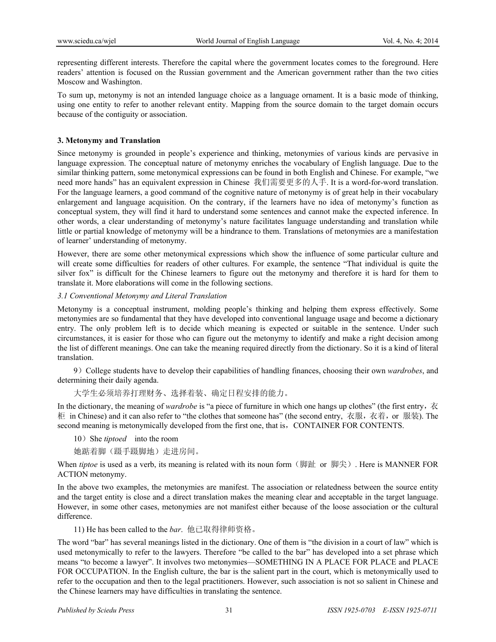representing different interests. Therefore the capital where the government locates comes to the foreground. Here readers' attention is focused on the Russian government and the American government rather than the two cities Moscow and Washington.

To sum up, metonymy is not an intended language choice as a language ornament. It is a basic mode of thinking, using one entity to refer to another relevant entity. Mapping from the source domain to the target domain occurs because of the contiguity or association.

## **3. Metonymy and Translation**

Since metonymy is grounded in people's experience and thinking, metonymies of various kinds are pervasive in language expression. The conceptual nature of metonymy enriches the vocabulary of English language. Due to the similar thinking pattern, some metonymical expressions can be found in both English and Chinese. For example, "we need more hands" has an equivalent expression in Chinese 我们需要更多的人手. It is a word-for-word translation. For the language learners, a good command of the cognitive nature of metonymy is of great help in their vocabulary enlargement and language acquisition. On the contrary, if the learners have no idea of metonymy's function as conceptual system, they will find it hard to understand some sentences and cannot make the expected inference. In other words, a clear understanding of metonymy's nature facilitates language understanding and translation while little or partial knowledge of metonymy will be a hindrance to them. Translations of metonymies are a manifestation of learner' understanding of metonymy.

However, there are some other metonymical expressions which show the influence of some particular culture and will create some difficulties for readers of other cultures. For example, the sentence "That individual is quite the silver fox" is difficult for the Chinese learners to figure out the metonymy and therefore it is hard for them to translate it. More elaborations will come in the following sections.

### *3.1 Conventional Metonymy and Literal Translation*

Metonymy is a conceptual instrument, molding people's thinking and helping them express effectively. Some metonymies are so fundamental that they have developed into conventional language usage and become a dictionary entry. The only problem left is to decide which meaning is expected or suitable in the sentence. Under such circumstances, it is easier for those who can figure out the metonymy to identify and make a right decision among the list of different meanings. One can take the meaning required directly from the dictionary. So it is a kind of literal translation.

9)College students have to develop their capabilities of handling finances, choosing their own *wardrobes*, and determining their daily agenda.

大学生必须培养打理财务、选择着装、确定日程安排的能力。

In the dictionary, the meaning of *wardrobe* is "a piece of furniture in which one hangs up clothes" (the first entry,衣 柜 in Chinese) and it can also refer to "the clothes that someone has" (the second entry, 衣服,衣着,or 服装). The second meaning is metonymically developed from the first one, that is, CONTAINER FOR CONTENTS.

10)She *tiptoed* into the room

她踮着脚(蹑手蹑脚地)走进房间。

When *tiptoe* is used as a verb, its meaning is related with its noun form (脚趾 or 脚尖). Here is MANNER FOR ACTION metonymy.

In the above two examples, the metonymies are manifest. The association or relatedness between the source entity and the target entity is close and a direct translation makes the meaning clear and acceptable in the target language. However, in some other cases, metonymies are not manifest either because of the loose association or the cultural difference.

11) He has been called to the *bar*. 他已取得律师资格。

The word "bar" has several meanings listed in the dictionary. One of them is "the division in a court of law" which is used metonymically to refer to the lawyers. Therefore "be called to the bar" has developed into a set phrase which means "to become a lawyer". It involves two metonymies—SOMETHING IN A PLACE FOR PLACE and PLACE FOR OCCUPATION. In the English culture, the bar is the salient part in the court, which is metonymically used to refer to the occupation and then to the legal practitioners. However, such association is not so salient in Chinese and the Chinese learners may have difficulties in translating the sentence.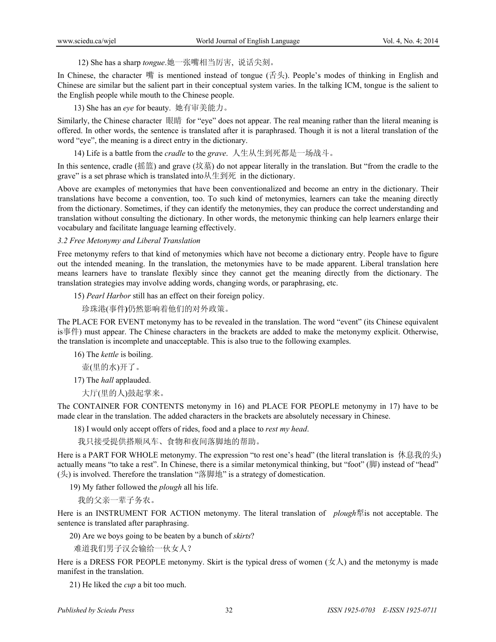12) She has a sharp *tongue*.她一张嘴相当厉害, 说话尖刻。

In Chinese, the character 嘴 is mentioned instead of tongue (舌头). People's modes of thinking in English and Chinese are similar but the salient part in their conceptual system varies. In the talking ICM, tongue is the salient to the English people while mouth to the Chinese people.

13) She has an *eye* for beauty. 她有审美能力。

Similarly, the Chinese character 眼睛 for "eye" does not appear. The real meaning rather than the literal meaning is offered. In other words, the sentence is translated after it is paraphrased. Though it is not a literal translation of the word "eye", the meaning is a direct entry in the dictionary.

14) Life is a battle from the *cradle* to the *grave*. 人生从生到死都是一场战斗。

In this sentence, cradle (摇篮) and grave (坟墓) do not appear literally in the translation. But "from the cradle to the grave" is a set phrase which is translated into $M \pm 2 \Im \pi$  in the dictionary.

Above are examples of metonymies that have been conventionalized and become an entry in the dictionary. Their translations have become a convention, too. To such kind of metonymies, learners can take the meaning directly from the dictionary. Sometimes, if they can identify the metonymies, they can produce the correct understanding and translation without consulting the dictionary. In other words, the metonymic thinking can help learners enlarge their vocabulary and facilitate language learning effectively.

*3.2 Free Metonymy and Liberal Translation* 

Free metonymy refers to that kind of metonymies which have not become a dictionary entry. People have to figure out the intended meaning. In the translation, the metonymies have to be made apparent. Liberal translation here means learners have to translate flexibly since they cannot get the meaning directly from the dictionary. The translation strategies may involve adding words, changing words, or paraphrasing, etc.

15) *Pearl Harbor* still has an effect on their foreign policy.

珍珠港(事件**)**仍然影响着他们的对外政策。

The PLACE FOR EVENT metonymy has to be revealed in the translation. The word "event" (its Chinese equivalent is事件) must appear. The Chinese characters in the brackets are added to make the metonymy explicit. Otherwise, the translation is incomplete and unacceptable. This is also true to the following examples.

16) The *kettle* is boiling.

壶(里的水)开了。

17) The *hall* applauded.

大厅(里的人)鼓起掌来。

The CONTAINER FOR CONTENTS metonymy in 16) and PLACE FOR PEOPLE metonymy in 17) have to be made clear in the translation. The added characters in the brackets are absolutely necessary in Chinese.

18) I would only accept offers of rides, food and a place to *rest my head*.

我只接受提供搭顺风车、食物和夜间落脚地的帮助。

Here is a PART FOR WHOLE metonymy. The expression "to rest one's head" (the literal translation is 休息我的头) actually means "to take a rest". In Chinese, there is a similar metonymical thinking, but "foot" (脚) instead of "head"  $(\frac{4}{\mathcal{N}})$  is involved. Therefore the translation "落脚地" is a strategy of domestication.

19) My father followed the *plough* all his life.

我的父亲一辈子务农。

Here is an INSTRUMENT FOR ACTION metonymy. The literal translation of *plough*犁is not acceptable. The sentence is translated after paraphrasing.

20) Are we boys going to be beaten by a bunch of *skirts*?

难道我们男子汉会输给一伙女人?

Here is a DRESS FOR PEOPLE metonymy. Skirt is the typical dress of women  $(\notimes \Lambda)$  and the metonymy is made manifest in the translation.

21) He liked the *cup* a bit too much.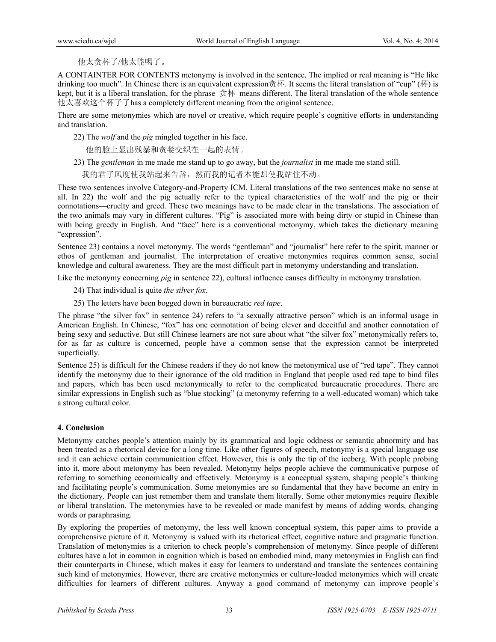## 他太贪杯了/他太能喝了。

A CONTAINTER FOR CONTENTS metonymy is involved in the sentence. The implied or real meaning is "He like drinking too much". In Chinese there is an equivalent expression贪杯. It seems the literal translation of "cup" (杯) is kept, but it is a liberal translation, for the phrase 贪杯 means different. The literal translation of the whole sentence 他太喜欢这个杯子了has a completely different meaning from the original sentence.

There are some metonymies which are novel or creative, which require people's cognitive efforts in understanding and translation.

22) The *wolf* and the *pig* mingled together in his face.

他的脸上显出残暴和贪婪交织在一起的表情。

23) The *gentleman* in me made me stand up to go away, but the *journalist* in me made me stand still.

我的君子风度使我站起来告辞,然而我的记者本能却使我站住不动。

These two sentences involve Category-and-Property ICM. Literal translations of the two sentences make no sense at all. In 22) the wolf and the pig actually refer to the typical characteristics of the wolf and the pig or their connotations—cruelty and greed. These two meanings have to be made clear in the translations. The association of the two animals may vary in different cultures. "Pig" is associated more with being dirty or stupid in Chinese than with being greedy in English. And "face" here is a conventional metonymy, which takes the dictionary meaning "expression".

Sentence 23) contains a novel metonymy. The words "gentleman" and "journalist" here refer to the spirit, manner or ethos of gentleman and journalist. The interpretation of creative metonymies requires common sense, social knowledge and cultural awareness. They are the most difficult part in metonymy understanding and translation.

Like the metonymy concerning *pig* in sentence 22), cultural influence causes difficulty in metonymy translation.

- 24) That individual is quite *the silver fox*.
- 25) The letters have been bogged down in bureaucratic *red tape*.

The phrase "the silver fox" in sentence 24) refers to "a sexually attractive person" which is an informal usage in American English. In Chinese, "fox" has one connotation of being clever and deceitful and another connotation of being sexy and seductive. But still Chinese learners are not sure about what "the silver fox" metonymically refers to, for as far as culture is concerned, people have a common sense that the expression cannot be interpreted superficially.

Sentence 25) is difficult for the Chinese readers if they do not know the metonymical use of "red tape". They cannot identify the metonymy due to their ignorance of the old tradition in England that people used red tape to bind files and papers, which has been used metonymically to refer to the complicated bureaucratic procedures. There are similar expressions in English such as "blue stocking" (a metonymy referring to a well-educated woman) which take a strong cultural color.

### **4. Conclusion**

Metonymy catches people's attention mainly by its grammatical and logic oddness or semantic abnormity and has been treated as a rhetorical device for a long time. Like other figures of speech, metonymy is a special language use and it can achieve certain communication effect. However, this is only the tip of the iceberg. With people probing into it, more about metonymy has been revealed. Metonymy helps people achieve the communicative purpose of referring to something economically and effectively. Metonymy is a conceptual system, shaping people's thinking and facilitating people's communication. Some metonymies are so fundamental that they have become an entry in the dictionary. People can just remember them and translate them literally. Some other metonymies require flexible or liberal translation. The metonymies have to be revealed or made manifest by means of adding words, changing words or paraphrasing.

By exploring the properties of metonymy, the less well known conceptual system, this paper aims to provide a comprehensive picture of it. Metonymy is valued with its rhetorical effect, cognitive nature and pragmatic function. Translation of metonymies is a criterion to check people's comprehension of metonymy. Since people of different cultures have a lot in common in cognition which is based on embodied mind, many metonymies in English can find their counterparts in Chinese, which makes it easy for learners to understand and translate the sentences containing such kind of metonymies. However, there are creative metonymies or culture-loaded metonymies which will create difficulties for learners of different cultures. Anyway a good command of metonymy can improve people's